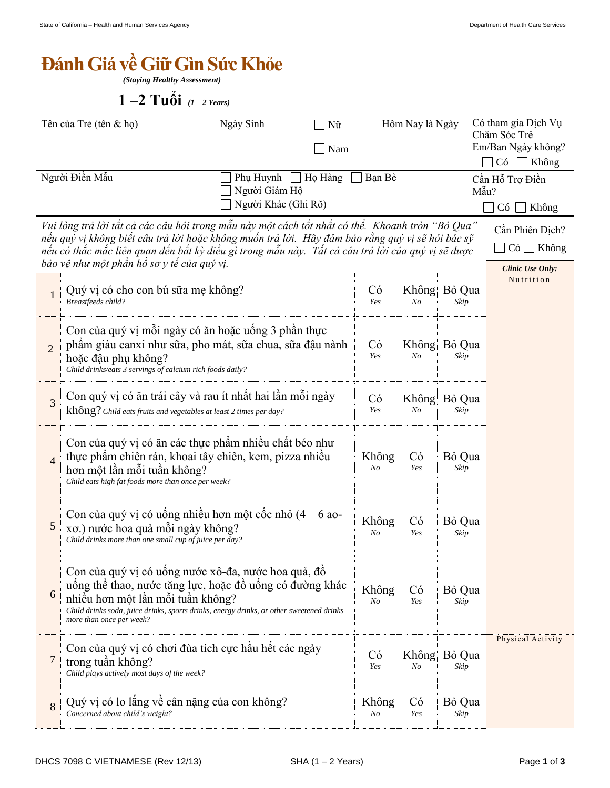## $\bf{D}$

*(Staying Healthy Assessment)*

 $1 - 2$  **Tuổi**  $(1 - 2$  **Years**)

| Tên của Trẻ (tên & họ)                                                                                                                                                                                                                                                                                                                                  |                                                                                                                                                                                                                                                                              | Ngày Sinh                                                                     | $\Box$ Nữ<br>Nam<br>$\blacksquare$ |                  | Hôm Nay là Ngày         |                                                         | Có tham gia Dịch Vụ<br>Chăm Sóc Trẻ<br>Em/Ban Ngày không?<br>$C6$ Không |                   |
|---------------------------------------------------------------------------------------------------------------------------------------------------------------------------------------------------------------------------------------------------------------------------------------------------------------------------------------------------------|------------------------------------------------------------------------------------------------------------------------------------------------------------------------------------------------------------------------------------------------------------------------------|-------------------------------------------------------------------------------|------------------------------------|------------------|-------------------------|---------------------------------------------------------|-------------------------------------------------------------------------|-------------------|
| Người Điền Mẫu                                                                                                                                                                                                                                                                                                                                          |                                                                                                                                                                                                                                                                              | $\Box$ Họ Hàng<br>Bạn Bè<br>Phụ Huynh<br>Người Giám Hộ<br>Người Khác (Ghi Rõ) |                                    |                  |                         | Cần Hỗ Trợ Điền<br>Mẫu?<br>$C\acute{o}$<br>$\Box$ Không |                                                                         |                   |
| Vui lòng trả lời tất cả các câu hỏi trong mẫu này một cách tốt nhất có thể. Khoanh tròn "Bỏ Qua"<br>nếu quý vị không biết câu trả lời hoặc không muốn trả lời. Hãy đảm bảo rằng quý vị sẽ hỏi bác sỹ<br>nếu có thắc mắc liên quan đến bất kỳ điều gì trong mẫu này. Tất cả câu trả lời của quý vị sẽ được<br>bảo vệ như một phần hồ sơ y tế của quý vị. |                                                                                                                                                                                                                                                                              |                                                                               |                                    |                  |                         |                                                         | Cần Phiên Dịch?<br>$\Box$ Có $\Box$ Không<br>Clinic Use Only:           |                   |
| $\mathbf{1}$                                                                                                                                                                                                                                                                                                                                            | Quý vị có cho con bú sữa mẹ không?<br>Breastfeeds child?                                                                                                                                                                                                                     |                                                                               |                                    | Có<br>Yes        | Không<br>N <sub>O</sub> | Bỏ Qua<br>Skip                                          |                                                                         | Nutrition         |
| $\overline{2}$                                                                                                                                                                                                                                                                                                                                          | Con của quý vị mỗi ngày có ăn hoặc uống 3 phần thực<br>phẩm giàu canxi như sữa, pho mát, sữa chua, sữa đậu nành<br>hoặc đậu phụ không?<br>Child drinks/eats 3 servings of calcium rich foods daily?                                                                          |                                                                               |                                    | Có<br>Yes        | Không<br>N <sub>O</sub> | Bỏ Qua<br>Skip                                          |                                                                         |                   |
| 3                                                                                                                                                                                                                                                                                                                                                       | Con quý vị có ăn trái cây và rau ít nhất hai lần mỗi ngày<br>không? Child eats fruits and vegetables at least 2 times per day?                                                                                                                                               |                                                                               |                                    | Có<br>Yes        | Không<br>No             | Bỏ Qua<br>Skip                                          |                                                                         |                   |
| $\overline{4}$                                                                                                                                                                                                                                                                                                                                          | Con của quý vị có ăn các thực phẩm nhiều chất béo như<br>thực phẩm chiến rán, khoai tây chiến, kem, pizza nhiều<br>hơn một lần mỗi tuần không?<br>Child eats high fat foods more than once per week?                                                                         |                                                                               |                                    | Không<br>No      | Có<br>Yes               | Bỏ Qua<br>Skip                                          |                                                                         |                   |
| $\sqrt{5}$                                                                                                                                                                                                                                                                                                                                              | Con của quý vị có uống nhiều hơn một cốc nhỏ $(4 - 6$ ao-<br>xơ.) nước hoa quả mỗi ngày không?<br>Child drinks more than one small cup of juice per day?                                                                                                                     |                                                                               |                                    | Không<br>$N_{O}$ | Có<br>Yes               | Bỏ Qua<br>Skip                                          |                                                                         |                   |
| 6                                                                                                                                                                                                                                                                                                                                                       | Con của quý vị có uống nước xô-đa, nước hoa quả, đồ<br>uống thể thao, nước tăng lực, hoặc đồ uống có đường khác<br>nhiều hơn một lần mỗi tuần không?<br>Child drinks soda, juice drinks, sports drinks, energy drinks, or other sweetened drinks<br>more than once per week? |                                                                               |                                    | Không<br>No      | Có<br>Yes               | Bỏ Qua<br>Skip                                          |                                                                         |                   |
| $\overline{7}$                                                                                                                                                                                                                                                                                                                                          | Con của quý vị có chơi đùa tích cực hầu hết các ngày<br>trong tuần không?<br>Child plays actively most days of the week?                                                                                                                                                     |                                                                               |                                    | Có<br>Yes        | Không<br>N <sub>O</sub> | Bỏ Qua<br>Skip                                          |                                                                         | Physical Activity |
| $\,8\,$                                                                                                                                                                                                                                                                                                                                                 | Quý vị có lo lắng về cân nặng của con không?<br>Concerned about child's weight?                                                                                                                                                                                              |                                                                               |                                    | Không<br>No      | Có<br>Yes               | Bỏ Qua<br>Skip                                          |                                                                         |                   |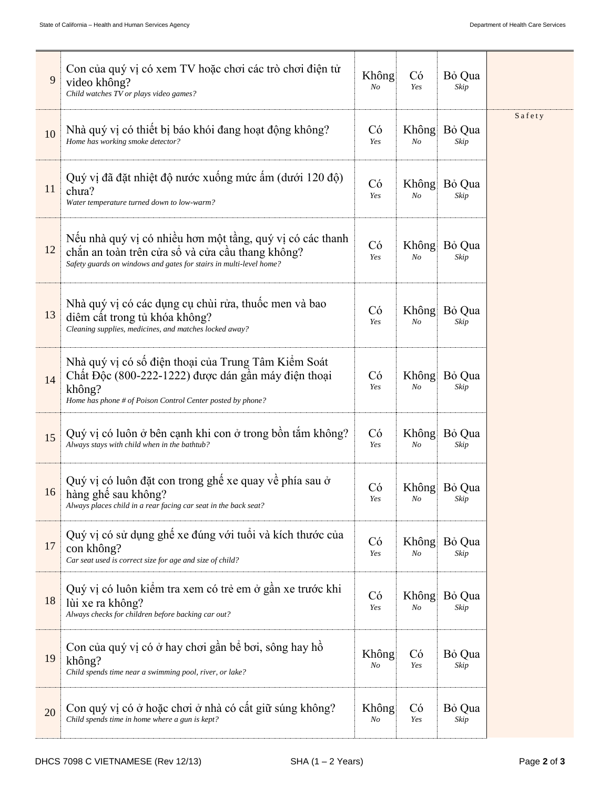| 9  | Con của quý vị có xem TV hoặc chơi các trò chơi điện tử<br>video không?<br>Child watches TV or plays video games?                                                                   | Không<br>No | Có<br>Yes   | Bỏ Qua<br>Skip       |        |
|----|-------------------------------------------------------------------------------------------------------------------------------------------------------------------------------------|-------------|-------------|----------------------|--------|
| 10 | Nhà quý vị có thiết bị báo khói đang hoạt động không?<br>Home has working smoke detector?                                                                                           | Có<br>Yes   | Không<br>No | Bỏ Qua<br>Skip       | Safety |
| 11 | Quý vị đã đặt nhiệt độ nước xuống mức ấm (dưới 120 độ)<br>chua?<br>Water temperature turned down to low-warm?                                                                       | Có<br>Yes   | Không<br>No | Bỏ Qua<br>Skip       |        |
| 12 | Nếu nhà quý vị có nhiều hơn một tầng, quý vị có các thanh<br>chắn an toàn trên cửa sổ và cửa cầu thang không?<br>Safety guards on windows and gates for stairs in multi-level home? | Có<br>Yes   | Không<br>No | Bỏ Qua<br>Skip       |        |
| 13 | Nhà quý vị có các dụng cụ chùi rửa, thuốc men và bao<br>diệm cất trong tủ khóa không?<br>Cleaning supplies, medicines, and matches locked away?                                     | Có<br>Yes   | Không<br>No | Bỏ Qua<br>Skip       |        |
| 14 | Nhà quý vị có số điện thoại của Trung Tâm Kiểm Soát<br>Chất Độc (800-222-1222) được dán gần máy điện thoại<br>không?<br>Home has phone # of Poison Control Center posted by phone?  | Có<br>Yes   | Không<br>No | Bỏ Qua<br>Skip       |        |
| 15 | Quý vị có luôn ở bên cạnh khi con ở trong bồn tắm không?<br>Always stays with child when in the bathtub?                                                                            | Có<br>Yes   | Không<br>No | Bỏ Qua<br>Skip       |        |
| 16 | Quý vị có luôn đặt con trong ghế xe quay về phía sau ở<br>hàng ghế sau không?<br>Always places child in a rear facing car seat in the back seat?                                    | Có<br>Yes   | No          | Không Bỏ Qua<br>Skip |        |
| 17 | Quý vị có sử dụng ghế xe đúng với tuổi và kích thước của<br>con không?<br>Car seat used is correct size for age and size of child?                                                  | Có<br>Yes   | Không<br>No | Bỏ Qua<br>Skip       |        |
| 18 | Quý vị có luôn kiệm tra xem có trẻ em ở gần xe trước khi<br>lùi xe ra không?<br>Always checks for children before backing car out?                                                  | Có<br>Yes   | Không<br>No | Bỏ Qua<br>Skip       |        |
| 19 | Con của quý vị có ở hay chơi gần bể bơi, sông hay hồ<br>không?<br>Child spends time near a swimming pool, river, or lake?                                                           | Không<br>No | Có<br>Yes   | Bỏ Qua<br>Skip       |        |
| 20 | Con quý vị có ở hoặc chơi ở nhà có cất giữ súng không?<br>Child spends time in home where a gun is kept?                                                                            | Không<br>No | Có<br>Yes   | Bỏ Qua<br>Skip       |        |